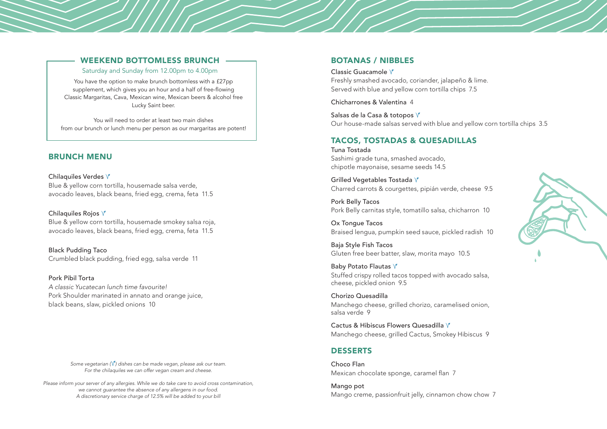### WEEKEND BOTTOMLESS BRUNCH

Saturday and Sunday from 12.00pm to 4.00pm

You have the option to make brunch bottomless with a £27pp supplement, which gives you an hour and a half of free-flowing Classic Margaritas, Cava, Mexican wine, Mexican beers & alcohol free Lucky Saint beer.

You will need to order at least two main dishes from our brunch or lunch menu per person as our margaritas are potent!

# BRUNCH MENU

Chilaquiles Verdes V Blue & yellow corn tortilla, housemade salsa verde, avocado leaves, black beans, fried egg, crema, feta 11.5

Chilaquiles Rojos V Blue & yellow corn tortilla, housemade smokey salsa roja, avocado leaves, black beans, fried egg, crema, feta 11.5

Black Pudding Taco Crumbled black pudding, fried egg, salsa verde 11

Pork Pibil Torta *A classic Yucatecan lunch time favourite!*  Pork Shoulder marinated in annato and orange juice, black beans, slaw, pickled onions 10

> *Some vegetarian ( ) dishes can be made vegan, please ask our team. For the chilaquiles we can offer vegan cream and cheese.*

*Please inform your server of any allergies. While we do take care to avoid cross contamination, we cannot guarantee the absence of any allergens in our food. A discretionary service charge of 12.5% will be added to your bill*

## BOTANAS / NIBBLES

Classic Guacamole Freshly smashed avocado, coriander, jalapeño & lime. Served with blue and yellow corn tortilla chips 7.5

Chicharrones & Valentina 4

Salsas de la Casa & totopos V Our house-made salsas served with blue and yellow corn tortilla chips 3.5

## TACOS, TOSTADAS & QUESADILLAS

Tuna Tostada Sashimi grade tuna, smashed avocado, chipotle mayonaise, sesame seeds 14.5

Grilled Vegetables Tostada Charred carrots & courgettes, pipián verde, cheese 9.5

Pork Belly Tacos Pork Belly carnitas style, tomatillo salsa, chicharron 10

Ox Tongue Tacos Braised lengua, pumpkin seed sauce, pickled radish 10

Baja Style Fish Tacos Gluten free beer batter, slaw, morita mayo 10.5

Baby Potato Flautas V Stuffed crispy rolled tacos topped with avocado salsa, cheese, pickled onion 9.5

Chorizo Quesadilla Manchego cheese, grilled chorizo, caramelised onion, salsa verde 9

Cactus & Hibiscus Flowers Quesadilla V Manchego cheese, grilled Cactus, Smokey Hibiscus 9

# DESSERTS

Choco Flan Mexican chocolate sponge, caramel flan 7

Mango pot Mango creme, passionfruit jelly, cinnamon chow chow 7